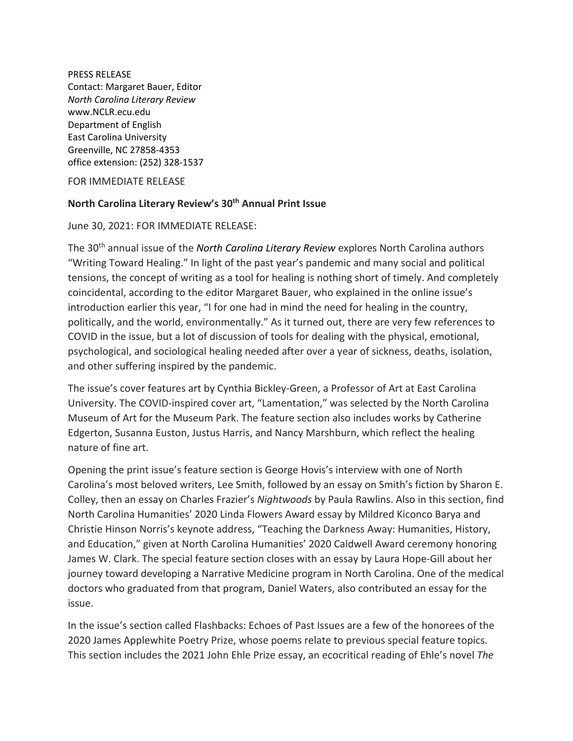PRESS RELEASE Contact: Margaret Bauer, Editor *North Carolina Literary Review* www.NCLR.ecu.edu Department of English East Carolina University Greenville, NC 27858-4353 office extension: (252) 328-1537

FOR IMMEDIATE RELEASE

## **North Carolina Literary Review's 30th Annual Print Issue**

## June 30, 2021: FOR IMMEDIATE RELEASE:

The 30th annual issue of the *North Carolina Literary Review* explores North Carolina authors "Writing Toward Healing." In light of the past year's pandemic and many social and political tensions, the concept of writing as a tool for healing is nothing short of timely. And completely coincidental, according to the editor Margaret Bauer, who explained in the online issue's introduction earlier this year, "I for one had in mind the need for healing in the country, politically, and the world, environmentally." As it turned out, there are very few references to COVID in the issue, but a lot of discussion of tools for dealing with the physical, emotional, psychological, and sociological healing needed after over a year of sickness, deaths, isolation, and other suffering inspired by the pandemic.

The issue's cover features art by Cynthia Bickley-Green, a Professor of Art at East Carolina University. The COVID-inspired cover art, "Lamentation," was selected by the North Carolina Museum of Art for the Museum Park. The feature section also includes works by Catherine Edgerton, Susanna Euston, Justus Harris, and Nancy Marshburn, which reflect the healing nature of fine art.

Opening the print issue's feature section is George Hovis's interview with one of North Carolina's most beloved writers, Lee Smith, followed by an essay on Smith's fiction by Sharon E. Colley, then an essay on Charles Frazier's *Nightwoods* by Paula Rawlins. Also in this section, find North Carolina Humanities' 2020 Linda Flowers Award essay by Mildred Kiconco Barya and Christie Hinson Norris's keynote address, "Teaching the Darkness Away: Humanities, History, and Education," given at North Carolina Humanities' 2020 Caldwell Award ceremony honoring James W. Clark. The special feature section closes with an essay by Laura Hope-Gill about her journey toward developing a Narrative Medicine program in North Carolina. One of the medical doctors who graduated from that program, Daniel Waters, also contributed an essay for the issue.

In the issue's section called Flashbacks: Echoes of Past Issues are a few of the honorees of the 2020 James Applewhite Poetry Prize, whose poems relate to previous special feature topics. This section includes the 2021 John Ehle Prize essay, an ecocritical reading of Ehle's novel *The*